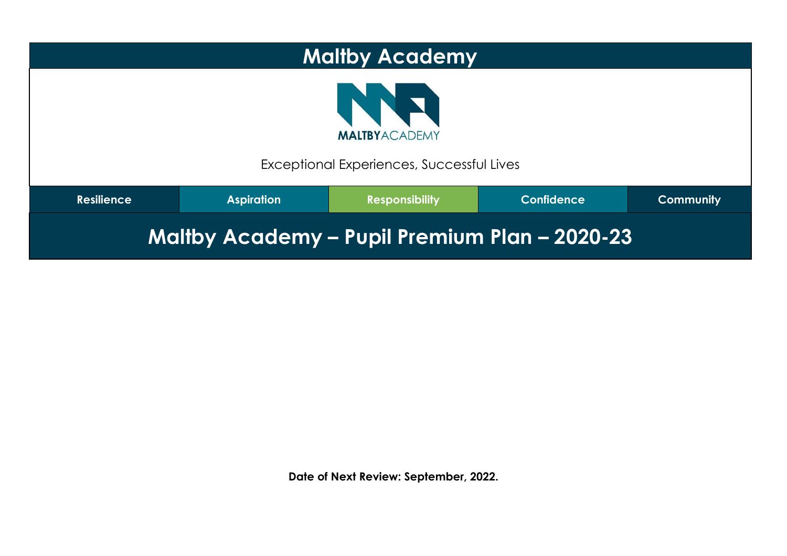| <b>Maltby Academy</b>                                                                                    |  |  |  |  |  |  |
|----------------------------------------------------------------------------------------------------------|--|--|--|--|--|--|
| <b>THE</b><br><b>MALTBYACADEMY</b><br>Exceptional Experiences, Successful Lives                          |  |  |  |  |  |  |
| <b>Confidence</b><br><b>Resilience</b><br><b>Aspiration</b><br><b>Community</b><br><b>Responsibility</b> |  |  |  |  |  |  |
| Maltby Academy - Pupil Premium Plan - 2020-23                                                            |  |  |  |  |  |  |

**Date of Next Review: September, 2022.**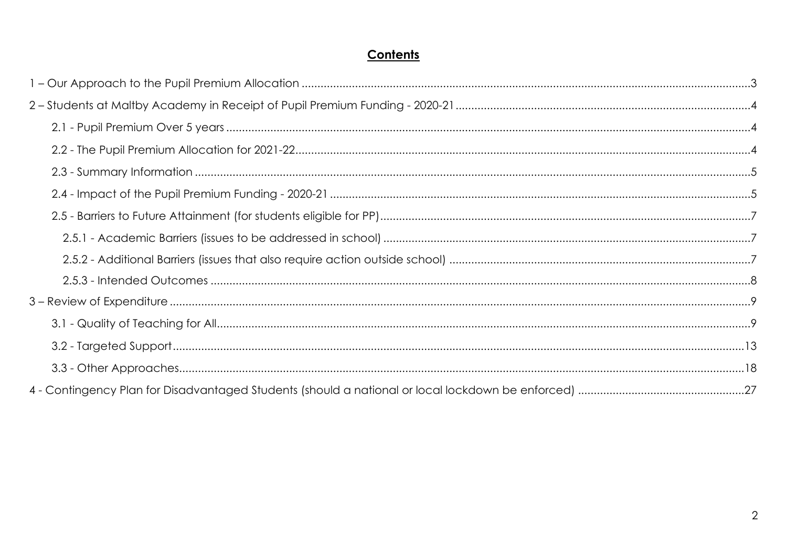# Contents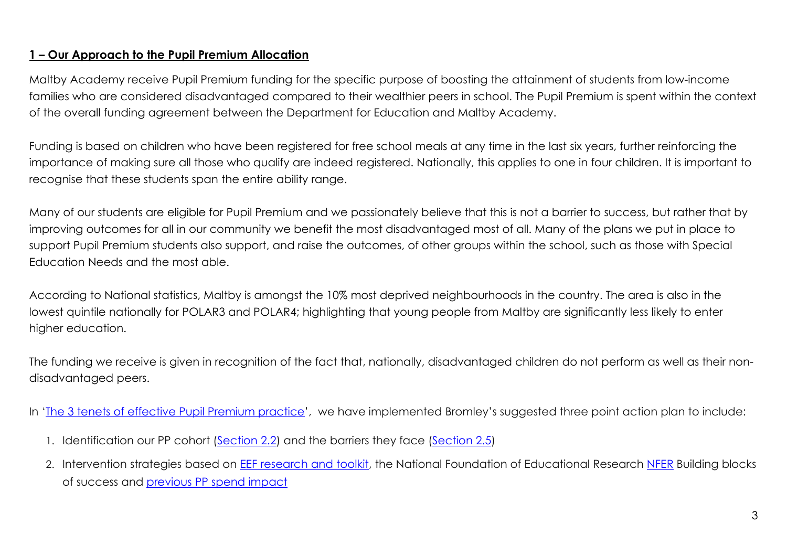### **1 – Our Approach to the Pupil Premium Allocation**

Maltby Academy receive Pupil Premium funding for the specific purpose of boosting the attainment of students from low-income families who are considered disadvantaged compared to their wealthier peers in school. The Pupil Premium is spent within the context of the overall funding agreement between the Department for Education and Maltby Academy.

Funding is based on children who have been registered for free school meals at any time in the last six years, further reinforcing the importance of making sure all those who qualify are indeed registered. Nationally, this applies to one in four children. It is important to recognise that these students span the entire ability range.

Many of our students are eligible for Pupil Premium and we passionately believe that this is not a barrier to success, but rather that by improving outcomes for all in our community we benefit the most disadvantaged most of all. Many of the plans we put in place to support Pupil Premium students also support, and raise the outcomes, of other groups within the school, such as those with Special Education Needs and the most able.

According to National statistics, Maltby is amongst the 10% most deprived neighbourhoods in the country. The area is also in the lowest quintile nationally for POLAR3 and POLAR4; highlighting that young people from Maltby are significantly less likely to enter higher education.

The funding we receive is given in recognition of the fact that, nationally, disadvantaged children do not perform as well as their nondisadvantaged peers.

In 'The 3 tenets of [effective](https://assets.markallengroup.com/article-images/219151/PullOut-Sept-PP-SecEd.pdf) Pupil Premium practice', we have implemented Bromley's suggested three point action plan to include:

- 1. Identification our PP cohort (Section 2.2) and the barriers they face (Section 2.5)
- 2. Intervention strategies based on EEF [research](https://educationendowmentfoundation.org.uk/evidence-summaries/teaching-learning-toolkit/) and toolkit, the National Foundation of Educational Research [NFER](https://www.nfer.ac.uk/supporting-the-attainment-of-disadvantaged-pupils-articulating-success-and-good-practice/) Building blocks of success and previous PP spend impact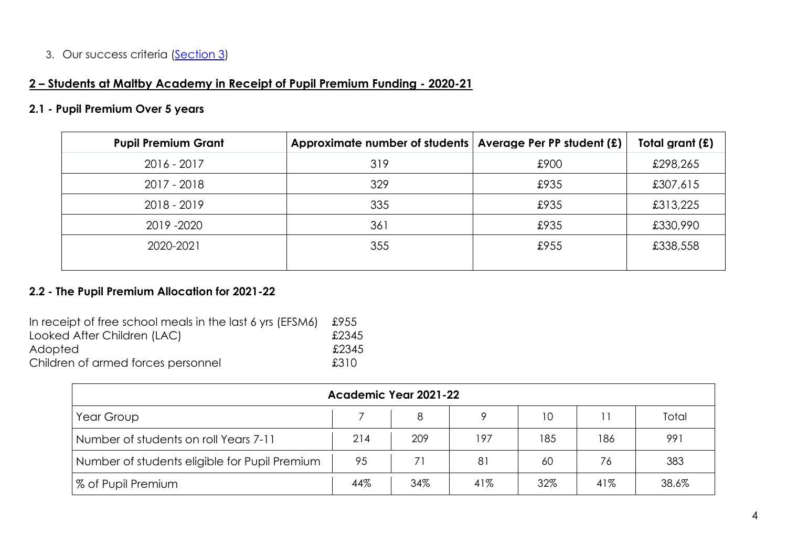## 3. Our success criteria (Section 3)

# **2 – Students at Maltby Academy in Receipt of Pupil Premium Funding - 2020-21**

#### **2.1 - Pupil Premium Over 5 years**

| <b>Pupil Premium Grant</b> | Approximate number of students | Average Per PP student (£) | Total grant (£) |
|----------------------------|--------------------------------|----------------------------|-----------------|
| $2016 - 2017$              | 319                            | £900                       | £298,265        |
| 2017 - 2018                | 329                            | £935                       | £307,615        |
| $2018 - 2019$              | 335                            | £935                       | £313,225        |
| 2019 - 2020                | 361                            | £935                       | £330,990        |
| 2020-2021                  | 355                            | £955                       | £338,558        |
|                            |                                |                            |                 |

## **2.2 - The Pupil Premium Allocation for 2021-22**

| In receipt of free school meals in the last 6 yrs (EFSM6) | £955  |
|-----------------------------------------------------------|-------|
| Looked After Children (LAC)                               | £2345 |
| Adopted                                                   | £2345 |
| Children of armed forces personnel                        | £310  |

| Academic Year 2021-22                         |     |     |     |     |     |       |
|-----------------------------------------------|-----|-----|-----|-----|-----|-------|
| Total<br>10<br>8<br>Year Group                |     |     |     |     |     |       |
| Number of students on roll Years 7-11         | 214 | 209 | 197 | 185 | 186 | 991   |
| Number of students eligible for Pupil Premium | 95  | 71  | 81  | 60  | 76  | 383   |
| <b>% of Pupil Premium</b>                     | 44% | 34% | 41% | 32% | 41% | 38.6% |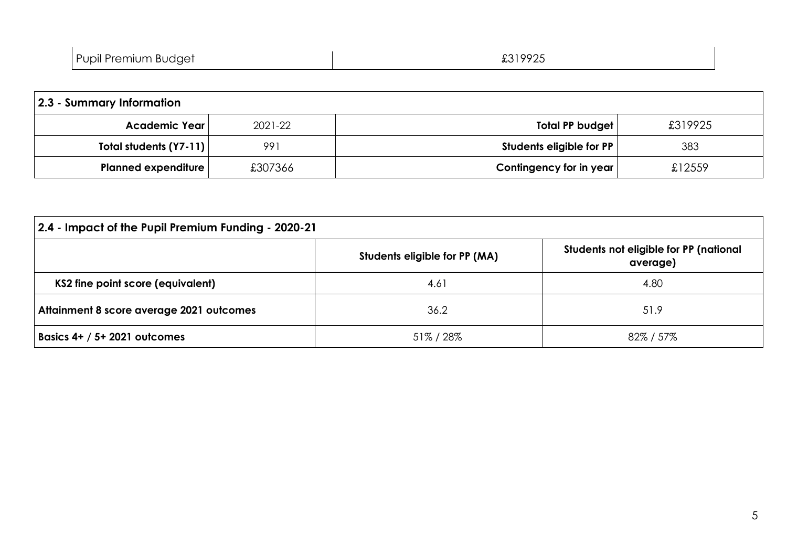| £31992F<br>Pupil Premium Budget |
|---------------------------------|
|---------------------------------|

| 2.3 - Summary Information  |         |                          |         |  |  |
|----------------------------|---------|--------------------------|---------|--|--|
| Academic Year              | 2021-22 | Total PP budget          | £319925 |  |  |
| Total students (Y7-11)     | 991     | Students eligible for PP | 383     |  |  |
| <b>Planned expenditure</b> | £307366 | Contingency for in year  | £12559  |  |  |

| 2.4 - Impact of the Pupil Premium Funding - 2020-21                                 |         |         |  |  |  |  |
|-------------------------------------------------------------------------------------|---------|---------|--|--|--|--|
| Students not eligible for PP (national<br>Students eligible for PP (MA)<br>average) |         |         |  |  |  |  |
| KS2 fine point score (equivalent)                                                   | 4.61    | 4.80    |  |  |  |  |
| Attainment 8 score average 2021 outcomes                                            | 36.2    | 51.9    |  |  |  |  |
| Basics $4+ / 5+ 2021$ outcomes                                                      | 51%/28% | 82%/57% |  |  |  |  |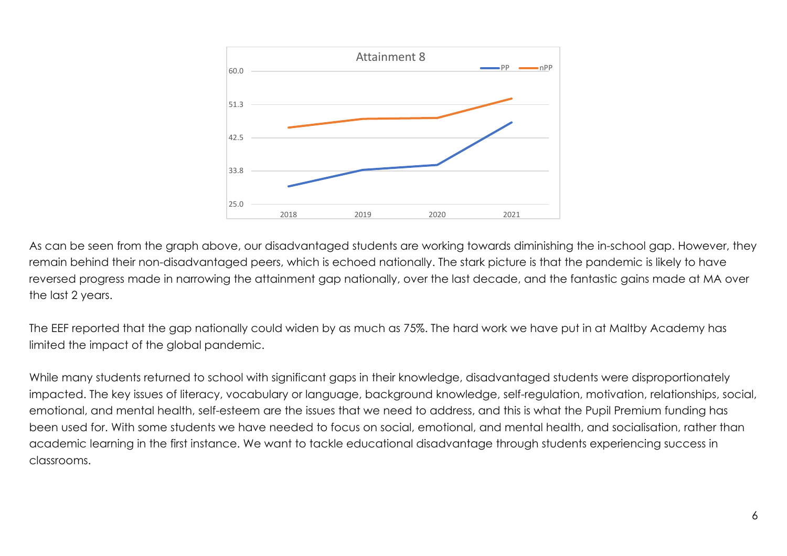

As can be seen from the graph above, our disadvantaged students are working towards diminishing the in-school gap. However, they remain behind their non-disadvantaged peers, which is echoed nationally. The stark picture is that the pandemic is likely to have reversed progress made in narrowing the attainment gap nationally, over the last decade, and the fantastic gains made at MA over the last 2 years.

The EEF reported that the gap nationally could widen by as much as 75%. The hard work we have put in at Maltby Academy has limited the impact of the global pandemic.

While many students returned to school with significant gaps in their knowledge, disadvantaged students were disproportionately impacted. The key issues of literacy, vocabulary or language, background knowledge, self-regulation, motivation, relationships, social, emotional, and mental health, self-esteem are the issues that we need to address, and this is what the Pupil Premium funding has been used for. With some students we have needed to focus on social, emotional, and mental health, and socialisation, rather than academic learning in the first instance. We want to tackle educational disadvantage through students experiencing success in classrooms.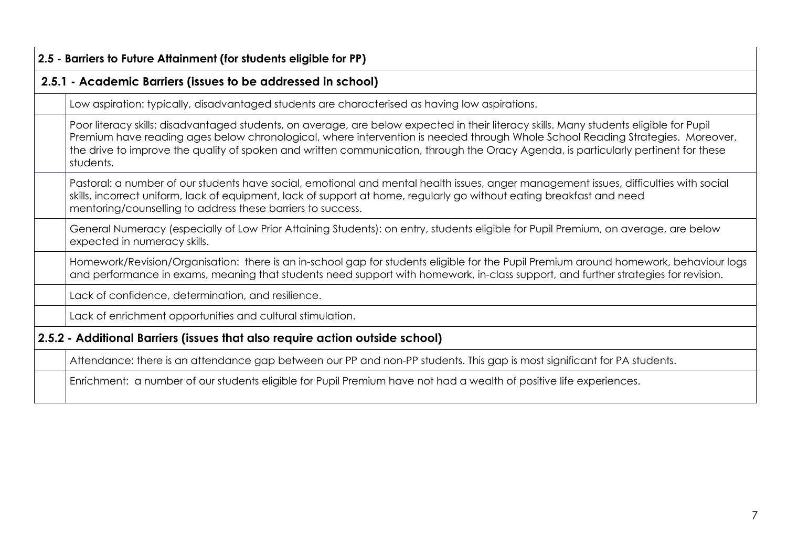#### **2.5 - Barriers to Future Attainment (for students eligible for PP)**

### **2.5.1 - Academic Barriers (issues to be addressed in school)**

Low aspiration: typically, disadvantaged students are characterised as having low aspirations.

Poor literacy skills: disadvantaged students, on average, are below expected in their literacy skills. Many students eligible for Pupil Premium have reading ages below chronological, where intervention is needed through Whole School Reading Strategies. Moreover, the drive to improve the quality of spoken and written communication, through the Oracy Agenda, is particularly pertinent for these students.

Pastoral: a number of our students have social, emotional and mental health issues, anger management issues, difficulties with social skills, incorrect uniform, lack of equipment, lack of support at home, regularly go without eating breakfast and need mentoring/counselling to address these barriers to success.

General Numeracy (especially of Low Prior Attaining Students): on entry, students eligible for Pupil Premium, on average, are below expected in numeracy skills.

Homework/Revision/Organisation: there is an in-school gap for students eligible for the Pupil Premium around homework, behaviour logs and performance in exams, meaning that students need support with homework, in-class support, and further strategies for revision.

Lack of confidence, determination, and resilience.

Lack of enrichment opportunities and cultural stimulation.

### **2.5.2 - Additional Barriers (issues that also require action outside school)**

Attendance: there is an attendance gap between our PP and non-PP students. This gap is most significant for PA students.

Enrichment: a number of our students eligible for Pupil Premium have not had a wealth of positive life experiences.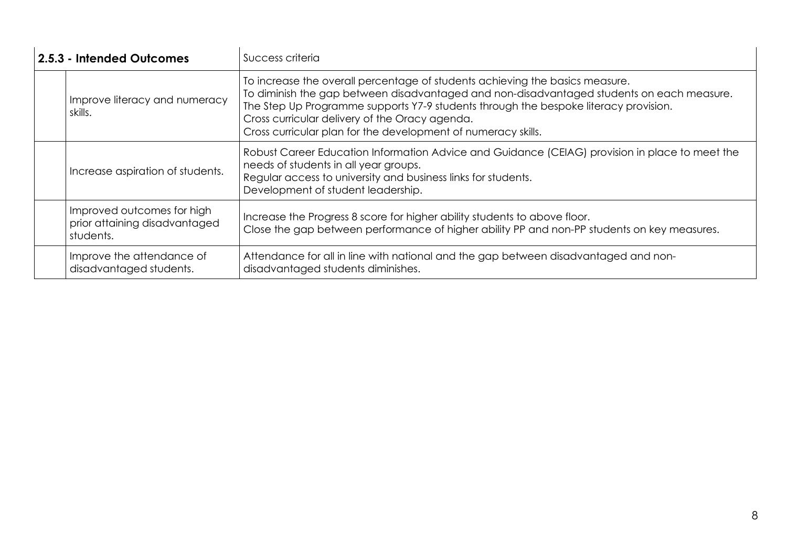| 2.5.3 - Intended Outcomes                                                | Success criteria                                                                                                                                                                                                                                                                                                                                                                     |
|--------------------------------------------------------------------------|--------------------------------------------------------------------------------------------------------------------------------------------------------------------------------------------------------------------------------------------------------------------------------------------------------------------------------------------------------------------------------------|
| Improve literacy and numeracy<br>skills.                                 | To increase the overall percentage of students achieving the basics measure.<br>To diminish the gap between disadvantaged and non-disadvantaged students on each measure.<br>The Step Up Programme supports Y7-9 students through the bespoke literacy provision.<br>Cross curricular delivery of the Oracy agenda.<br>Cross curricular plan for the development of numeracy skills. |
| Increase aspiration of students.                                         | Robust Career Education Information Advice and Guidance (CEIAG) provision in place to meet the<br>needs of students in all year groups.<br>Regular access to university and business links for students.<br>Development of student leadership.                                                                                                                                       |
| Improved outcomes for high<br>prior attaining disadvantaged<br>students. | Increase the Progress 8 score for higher ability students to above floor.<br>Close the gap between performance of higher ability PP and non-PP students on key measures.                                                                                                                                                                                                             |
| Improve the attendance of<br>disadvantaged students.                     | Attendance for all in line with national and the gap between disadvantaged and non-<br>disadvantaged students diminishes.                                                                                                                                                                                                                                                            |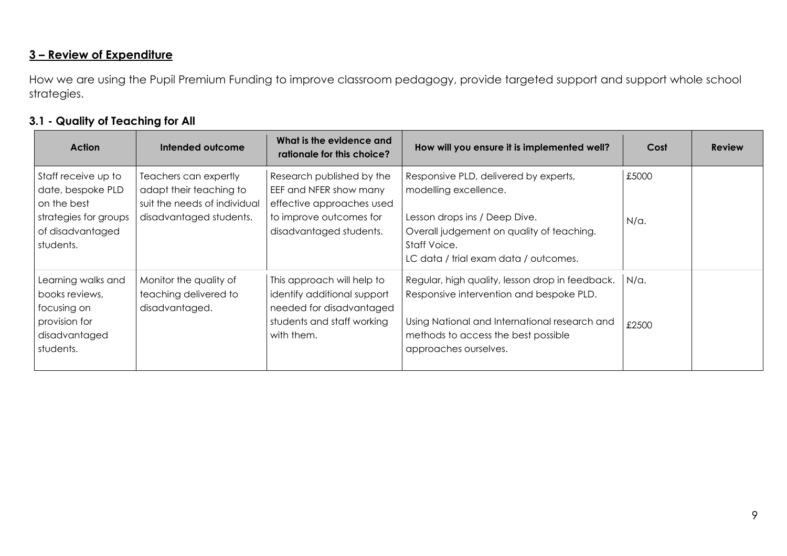## **3 – Review of Expenditure**

How we are using the Pupil Premium Funding to improve classroom pedagogy, provide targeted support and support whole school strategies.

#### **3.1 - Quality of Teaching for All**

| <b>Action</b>                                                                                                     | Intended outcome                                                                                            | What is the evidence and<br>rationale for this choice?                                                                                 | How will you ensure it is implemented well?                                                                                                                                                                  | Cost                  | <b>Review</b> |
|-------------------------------------------------------------------------------------------------------------------|-------------------------------------------------------------------------------------------------------------|----------------------------------------------------------------------------------------------------------------------------------------|--------------------------------------------------------------------------------------------------------------------------------------------------------------------------------------------------------------|-----------------------|---------------|
| Staff receive up to<br>date, bespoke PLD<br>on the best<br>strategies for groups<br>of disadvantaged<br>students. | Teachers can expertly<br>adapt their teaching to<br>suit the needs of individual<br>disadvantaged students. | Research published by the<br>EEF and NFER show many<br>effective approaches used<br>to improve outcomes for<br>disadvantaged students. | Responsive PLD, delivered by experts,<br>modelling excellence.<br>Lesson drops ins / Deep Dive.<br>Overall judgement on quality of teaching.<br>Staff Voice.<br>LC data / trial exam data / outcomes.        | £5000<br>$N/\alpha$ . |               |
| Learning walks and<br>books reviews,<br>focusing on<br>provision for<br>disadvantaged<br>students.                | Monitor the quality of<br>teaching delivered to<br>disadvantaged.                                           | This approach will help to<br>identify additional support<br>needed for disadvantaged<br>students and staff working<br>with them.      | Regular, high quality, lesson drop in feedback.<br>Responsive intervention and bespoke PLD.<br>Using National and International research and<br>methods to access the best possible<br>approaches ourselves. | N/a.<br>£2500         |               |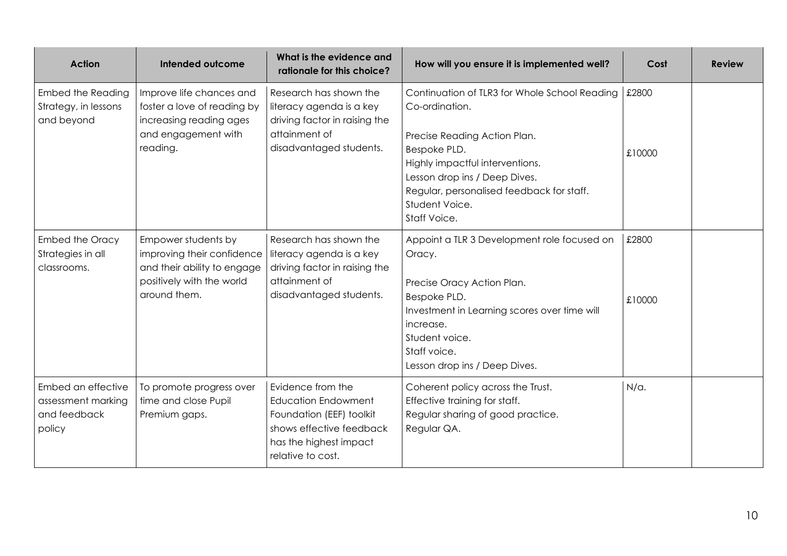| <b>Action</b>                                                      | Intended outcome                                                                                                              | What is the evidence and<br>rationale for this choice?                                                                                                 | How will you ensure it is implemented well?                                                                                                                                                                                                                        | Cost            | <b>Review</b> |
|--------------------------------------------------------------------|-------------------------------------------------------------------------------------------------------------------------------|--------------------------------------------------------------------------------------------------------------------------------------------------------|--------------------------------------------------------------------------------------------------------------------------------------------------------------------------------------------------------------------------------------------------------------------|-----------------|---------------|
| <b>Embed the Reading</b><br>Strategy, in lessons<br>and beyond     | Improve life chances and<br>foster a love of reading by<br>increasing reading ages<br>and engagement with<br>reading.         | Research has shown the<br>literacy agenda is a key<br>driving factor in raising the<br>attainment of<br>disadvantaged students.                        | Continuation of TLR3 for Whole School Reading<br>Co-ordination.<br>Precise Reading Action Plan.<br>Bespoke PLD.<br>Highly impactful interventions.<br>Lesson drop ins / Deep Dives.<br>Regular, personalised feedback for staff.<br>Student Voice.<br>Staff Voice. | £2800<br>£10000 |               |
| <b>Embed the Oracy</b><br>Strategies in all<br>classrooms.         | Empower students by<br>improving their confidence<br>and their ability to engage<br>positively with the world<br>around them. | Research has shown the<br>literacy agenda is a key<br>driving factor in raising the<br>attainment of<br>disadvantaged students.                        | Appoint a TLR 3 Development role focused on<br>Oracy.<br>Precise Oracy Action Plan.<br>Bespoke PLD.<br>Investment in Learning scores over time will<br>increase.<br>Student voice.<br>Staff voice.<br>Lesson drop ins / Deep Dives.                                | £2800<br>£10000 |               |
| Embed an effective<br>assessment marking<br>and feedback<br>policy | To promote progress over<br>time and close Pupil<br>Premium gaps.                                                             | Evidence from the<br><b>Education Endowment</b><br>Foundation (EEF) toolkit<br>shows effective feedback<br>has the highest impact<br>relative to cost. | Coherent policy across the Trust.<br>Effective training for staff.<br>Regular sharing of good practice.<br>Regular QA.                                                                                                                                             | $N/\alpha$ .    |               |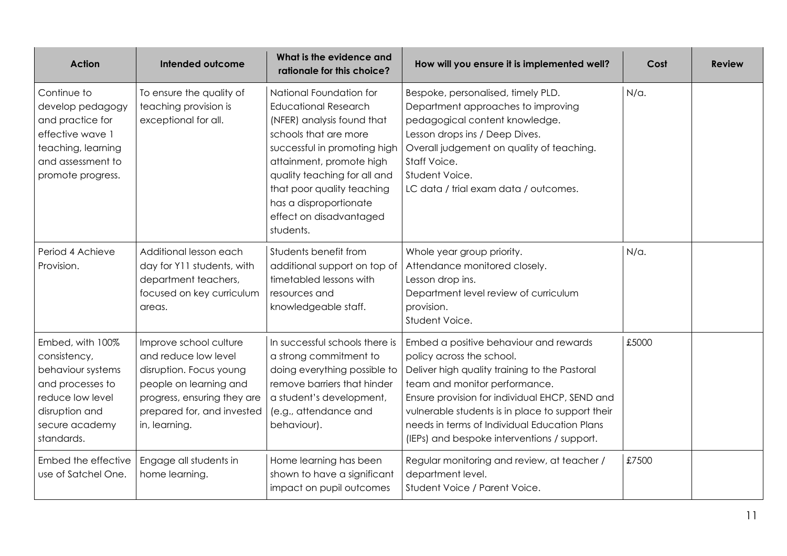| <b>Action</b>                                                                                                                                   | <b>Intended outcome</b>                                                                                                                                                           | What is the evidence and<br>rationale for this choice?                                                                                                                                                                                                                                                    | How will you ensure it is implemented well?                                                                                                                                                                                                                                                                                                                | Cost         | <b>Review</b> |
|-------------------------------------------------------------------------------------------------------------------------------------------------|-----------------------------------------------------------------------------------------------------------------------------------------------------------------------------------|-----------------------------------------------------------------------------------------------------------------------------------------------------------------------------------------------------------------------------------------------------------------------------------------------------------|------------------------------------------------------------------------------------------------------------------------------------------------------------------------------------------------------------------------------------------------------------------------------------------------------------------------------------------------------------|--------------|---------------|
| Continue to<br>develop pedagogy<br>and practice for<br>effective wave 1<br>teaching, learning<br>and assessment to<br>promote progress.         | To ensure the quality of<br>teaching provision is<br>exceptional for all.                                                                                                         | National Foundation for<br><b>Educational Research</b><br>(NFER) analysis found that<br>schools that are more<br>successful in promoting high<br>attainment, promote high<br>quality teaching for all and<br>that poor quality teaching<br>has a disproportionate<br>effect on disadvantaged<br>students. | Bespoke, personalised, timely PLD.<br>Department approaches to improving<br>pedagogical content knowledge.<br>Lesson drops ins / Deep Dives.<br>Overall judgement on quality of teaching.<br>Staff Voice.<br>Student Voice.<br>LC data / trial exam data / outcomes.                                                                                       | $N/\alpha$ . |               |
| Period 4 Achieve<br>Provision.                                                                                                                  | Additional lesson each<br>day for Y11 students, with<br>department teachers,<br>focused on key curriculum<br>areas.                                                               | Students benefit from<br>additional support on top of<br>timetabled lessons with<br>resources and<br>knowledgeable staff.                                                                                                                                                                                 | Whole year group priority.<br>Attendance monitored closely.<br>Lesson drop ins.<br>Department level review of curriculum<br>provision.<br>Student Voice.                                                                                                                                                                                                   | $N/\alpha$ . |               |
| Embed, with 100%<br>consistency,<br>behaviour systems<br>and processes to<br>reduce low level<br>disruption and<br>secure academy<br>standards. | Improve school culture<br>and reduce low level<br>disruption. Focus young<br>people on learning and<br>progress, ensuring they are<br>prepared for, and invested<br>in, learning. | In successful schools there is<br>a strong commitment to<br>doing everything possible to<br>remove barriers that hinder<br>a student's development,<br>(e.g., attendance and<br>behaviour).                                                                                                               | Embed a positive behaviour and rewards<br>policy across the school.<br>Deliver high quality training to the Pastoral<br>team and monitor performance.<br>Ensure provision for individual EHCP, SEND and<br>vulnerable students is in place to support their<br>needs in terms of Individual Education Plans<br>(IEPs) and bespoke interventions / support. | £5000        |               |
| Embed the effective<br>use of Satchel One.                                                                                                      | Engage all students in<br>home learning.                                                                                                                                          | Home learning has been<br>shown to have a significant<br>impact on pupil outcomes                                                                                                                                                                                                                         | Regular monitoring and review, at teacher /<br>department level.<br>Student Voice / Parent Voice.                                                                                                                                                                                                                                                          | £7500        |               |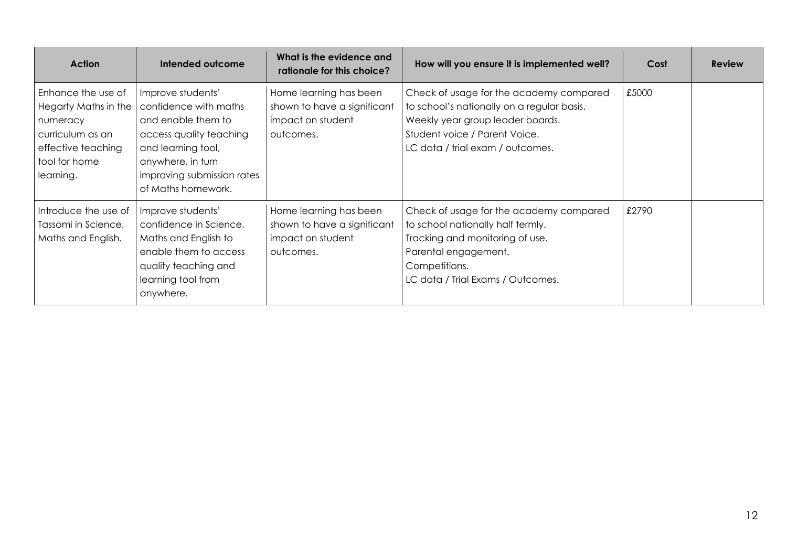| <b>Action</b>                                                                                                                  | Intended outcome                                                                                                                                                                           | What is the evidence and<br>rationale for this choice?                                  | How will you ensure it is implemented well?                                                                                                                                                    | Cost  | <b>Review</b> |
|--------------------------------------------------------------------------------------------------------------------------------|--------------------------------------------------------------------------------------------------------------------------------------------------------------------------------------------|-----------------------------------------------------------------------------------------|------------------------------------------------------------------------------------------------------------------------------------------------------------------------------------------------|-------|---------------|
| Enhance the use of<br>Hegarty Maths in the<br>numeracy<br>curriculum as an<br>effective teaching<br>tool for home<br>learning. | Improve students'<br>confidence with maths<br>and enable them to<br>access quality teaching<br>and learning tool,<br>anywhere, in turn<br>improving submission rates<br>of Maths homework. | Home learning has been<br>shown to have a significant<br>impact on student<br>outcomes. | Check of usage for the academy compared<br>to school's nationally on a regular basis.<br>Weekly year group leader boards.<br>Student voice / Parent Voice.<br>LC data / trial exam / outcomes. | £5000 |               |
| Introduce the use of<br>Tassomi in Science,<br>Maths and English.                                                              | Improve students'<br>confidence in Science,<br>Maths and English to<br>enable them to access<br>quality teaching and<br>learning tool from<br>anywhere.                                    | Home learning has been<br>shown to have a significant<br>impact on student<br>outcomes. | Check of usage for the academy compared<br>to school nationally half termly.<br>Tracking and monitoring of use.<br>Parental engagement.<br>Competitions.<br>LC data / Trial Exams / Outcomes.  | £2790 |               |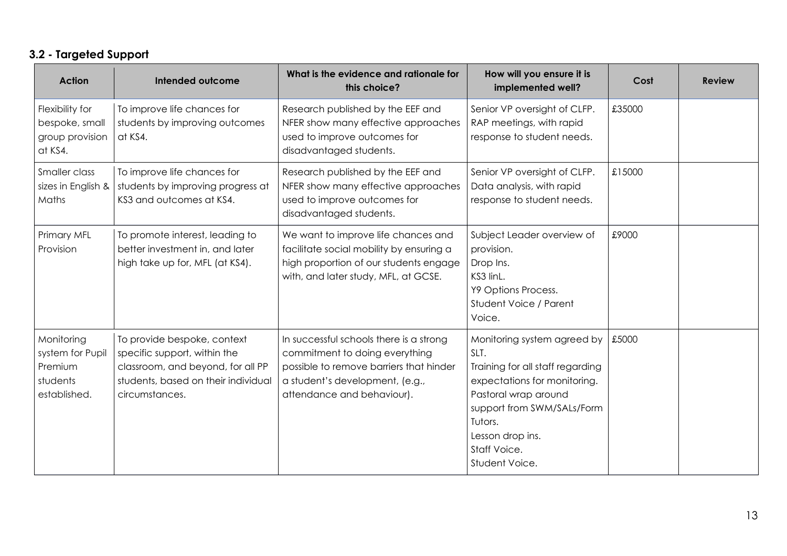# **3.2 - Targeted Support**

| <b>Action</b>                                                         | Intended outcome                                                                                                                                          | What is the evidence and rationale for<br>this choice?                                                                                                                                | How will you ensure it is<br>implemented well?                                                                                                                                                                                 | Cost   | <b>Review</b> |
|-----------------------------------------------------------------------|-----------------------------------------------------------------------------------------------------------------------------------------------------------|---------------------------------------------------------------------------------------------------------------------------------------------------------------------------------------|--------------------------------------------------------------------------------------------------------------------------------------------------------------------------------------------------------------------------------|--------|---------------|
| Flexibility for<br>bespoke, small<br>group provision<br>at KS4.       | To improve life chances for<br>students by improving outcomes<br>at KS4.                                                                                  | Research published by the EEF and<br>NFER show many effective approaches<br>used to improve outcomes for<br>disadvantaged students.                                                   | Senior VP oversight of CLFP.<br>RAP meetings, with rapid<br>response to student needs.                                                                                                                                         | £35000 |               |
| Smaller class<br>sizes in English &<br>Maths                          | To improve life chances for<br>students by improving progress at<br>KS3 and outcomes at KS4.                                                              | Research published by the EEF and<br>NFER show many effective approaches<br>used to improve outcomes for<br>disadvantaged students.                                                   | Senior VP oversight of CLFP.<br>Data analysis, with rapid<br>response to student needs.                                                                                                                                        | £15000 |               |
| Primary MFL<br>Provision                                              | To promote interest, leading to<br>better investment in, and later<br>high take up for, MFL (at KS4).                                                     | We want to improve life chances and<br>facilitate social mobility by ensuring a<br>high proportion of our students engage<br>with, and later study, MFL, at GCSE.                     | Subject Leader overview of<br>provision.<br>Drop Ins.<br>KS3 linL.<br>Y9 Options Process.<br>Student Voice / Parent<br>Voice.                                                                                                  | £9000  |               |
| Monitoring<br>system for Pupil<br>Premium<br>students<br>established. | To provide bespoke, context<br>specific support, within the<br>classroom, and beyond, for all PP<br>students, based on their individual<br>circumstances. | In successful schools there is a strong<br>commitment to doing everything<br>possible to remove barriers that hinder<br>a student's development, (e.g.,<br>attendance and behaviour). | Monitoring system agreed by<br>SLT.<br>Training for all staff regarding<br>expectations for monitoring.<br>Pastoral wrap around<br>support from SWM/SALs/Form<br>Tutors.<br>Lesson drop ins.<br>Staff Voice.<br>Student Voice. | £5000  |               |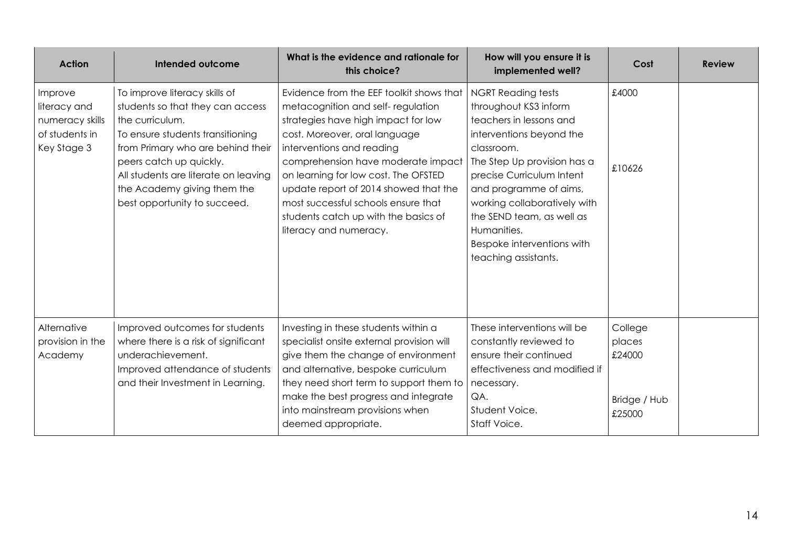| <b>Action</b>                                                               | Intended outcome                                                                                                                                                                                                                                                                                | What is the evidence and rationale for<br>this choice?                                                                                                                                                                                                                                                                                                                                                             | How will you ensure it is<br>implemented well?                                                                                                                                                                                                                                                                                                  | Cost                                                  | <b>Review</b> |
|-----------------------------------------------------------------------------|-------------------------------------------------------------------------------------------------------------------------------------------------------------------------------------------------------------------------------------------------------------------------------------------------|--------------------------------------------------------------------------------------------------------------------------------------------------------------------------------------------------------------------------------------------------------------------------------------------------------------------------------------------------------------------------------------------------------------------|-------------------------------------------------------------------------------------------------------------------------------------------------------------------------------------------------------------------------------------------------------------------------------------------------------------------------------------------------|-------------------------------------------------------|---------------|
| Improve<br>literacy and<br>numeracy skills<br>of students in<br>Key Stage 3 | To improve literacy skills of<br>students so that they can access<br>the curriculum.<br>To ensure students transitioning<br>from Primary who are behind their<br>peers catch up quickly.<br>All students are literate on leaving<br>the Academy giving them the<br>best opportunity to succeed. | Evidence from the EEF toolkit shows that<br>metacognition and self-regulation<br>strategies have high impact for low<br>cost. Moreover, oral language<br>interventions and reading<br>comprehension have moderate impact<br>on learning for low cost. The OFSTED<br>update report of 2014 showed that the<br>most successful schools ensure that<br>students catch up with the basics of<br>literacy and numeracy. | <b>NGRT Reading tests</b><br>throughout KS3 inform<br>teachers in lessons and<br>interventions beyond the<br>classroom.<br>The Step Up provision has a<br>precise Curriculum Intent<br>and programme of aims,<br>working collaboratively with<br>the SEND team, as well as<br>Humanities.<br>Bespoke interventions with<br>teaching assistants. | £4000<br>£10626                                       |               |
| Alternative<br>provision in the<br>Academy                                  | Improved outcomes for students<br>where there is a risk of significant<br>underachievement.<br>Improved attendance of students<br>and their Investment in Learning.                                                                                                                             | Investing in these students within a<br>specialist onsite external provision will<br>give them the change of environment<br>and alternative, bespoke curriculum<br>they need short term to support them to<br>make the best progress and integrate<br>into mainstream provisions when<br>deemed appropriate.                                                                                                       | These interventions will be<br>constantly reviewed to<br>ensure their continued<br>effectiveness and modified if<br>necessary.<br>QA.<br>Student Voice.<br>Staff Voice.                                                                                                                                                                         | College<br>places<br>£24000<br>Bridge / Hub<br>£25000 |               |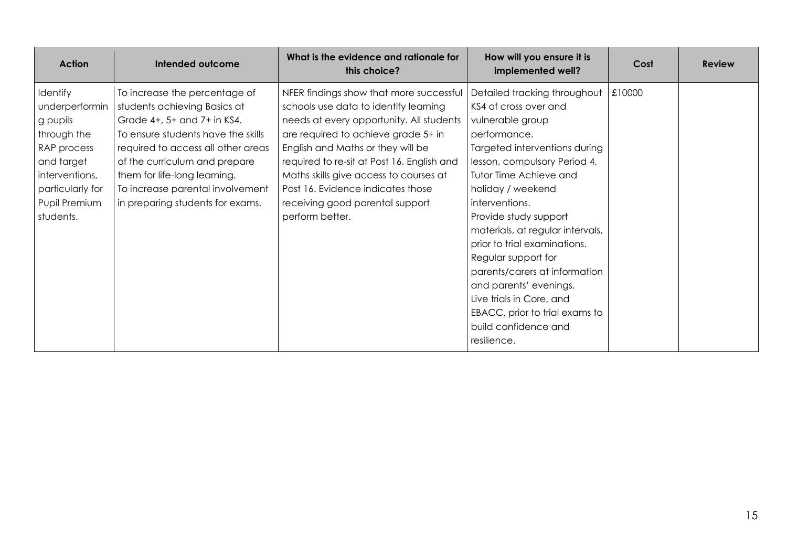| <b>Action</b>    | Intended outcome                   | What is the evidence and rationale for<br>this choice? | How will you ensure it is<br>implemented well? | Cost   | <b>Review</b> |
|------------------|------------------------------------|--------------------------------------------------------|------------------------------------------------|--------|---------------|
| Identify         | To increase the percentage of      | NFER findings show that more successful                | Detailed tracking throughout                   | £10000 |               |
| underperformin   | students achieving Basics at       | schools use data to identify learning                  | KS4 of cross over and                          |        |               |
| g pupils         | Grade 4+, 5+ and 7+ in KS4.        | needs at every opportunity. All students               | vulnerable group                               |        |               |
| through the      | To ensure students have the skills | are required to achieve grade 5+ in                    | performance.                                   |        |               |
| RAP process      | required to access all other areas | English and Maths or they will be                      | Targeted interventions during                  |        |               |
| and target       | of the curriculum and prepare      | required to re-sit at Post 16. English and             | lesson, compulsory Period 4,                   |        |               |
| interventions,   | them for life-long learning.       | Maths skills give access to courses at                 | Tutor Time Achieve and                         |        |               |
| particularly for | To increase parental involvement   | Post 16. Evidence indicates those                      | holiday / weekend                              |        |               |
| Pupil Premium    | in preparing students for exams.   | receiving good parental support                        | interventions.                                 |        |               |
| students.        |                                    | perform better.                                        | Provide study support                          |        |               |
|                  |                                    |                                                        | materials, at regular intervals,               |        |               |
|                  |                                    |                                                        | prior to trial examinations.                   |        |               |
|                  |                                    |                                                        | Regular support for                            |        |               |
|                  |                                    |                                                        | parents/carers at information                  |        |               |
|                  |                                    |                                                        | and parents' evenings.                         |        |               |
|                  |                                    |                                                        | Live trials in Core, and                       |        |               |
|                  |                                    |                                                        | EBACC, prior to trial exams to                 |        |               |
|                  |                                    |                                                        | build confidence and                           |        |               |
|                  |                                    |                                                        | resilience.                                    |        |               |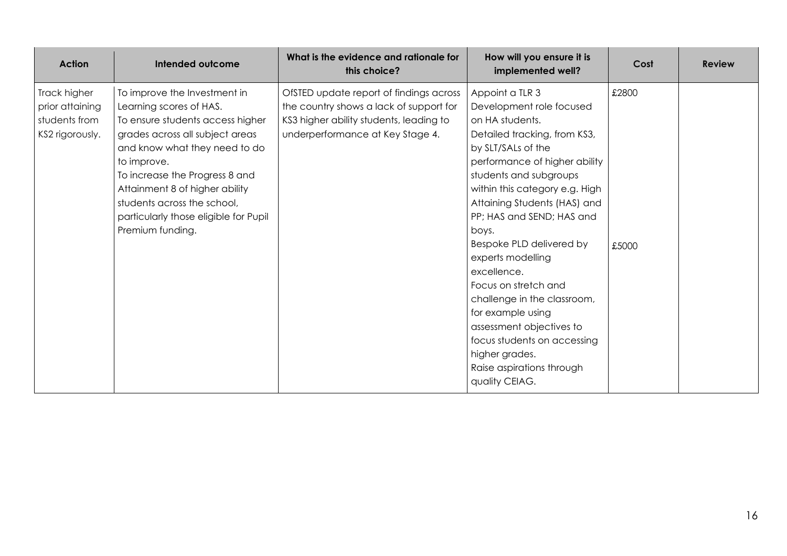| <b>Action</b>                                                       | Intended outcome                                                                                                                                                                                                                                                                                                                               | What is the evidence and rationale for<br>this choice?                                                                                                            | How will you ensure it is<br>implemented well?                                                                                                                                                                                                                                                                                                                                                                                                                                                                                                                  | Cost           | <b>Review</b> |
|---------------------------------------------------------------------|------------------------------------------------------------------------------------------------------------------------------------------------------------------------------------------------------------------------------------------------------------------------------------------------------------------------------------------------|-------------------------------------------------------------------------------------------------------------------------------------------------------------------|-----------------------------------------------------------------------------------------------------------------------------------------------------------------------------------------------------------------------------------------------------------------------------------------------------------------------------------------------------------------------------------------------------------------------------------------------------------------------------------------------------------------------------------------------------------------|----------------|---------------|
| Track higher<br>prior attaining<br>students from<br>KS2 rigorously. | To improve the Investment in<br>Learning scores of HAS.<br>To ensure students access higher<br>grades across all subject areas<br>and know what they need to do<br>to improve.<br>To increase the Progress 8 and<br>Attainment 8 of higher ability<br>students across the school,<br>particularly those eligible for Pupil<br>Premium funding. | OfSTED update report of findings across<br>the country shows a lack of support for<br>KS3 higher ability students, leading to<br>underperformance at Key Stage 4. | Appoint a TLR 3<br>Development role focused<br>on HA students.<br>Detailed tracking, from KS3,<br>by SLT/SALs of the<br>performance of higher ability<br>students and subgroups<br>within this category e.g. High<br>Attaining Students (HAS) and<br>PP; HAS and SEND; HAS and<br>boys.<br>Bespoke PLD delivered by<br>experts modelling<br>excellence.<br>Focus on stretch and<br>challenge in the classroom,<br>for example using<br>assessment objectives to<br>focus students on accessing<br>higher grades.<br>Raise aspirations through<br>quality CEIAG. | £2800<br>£5000 |               |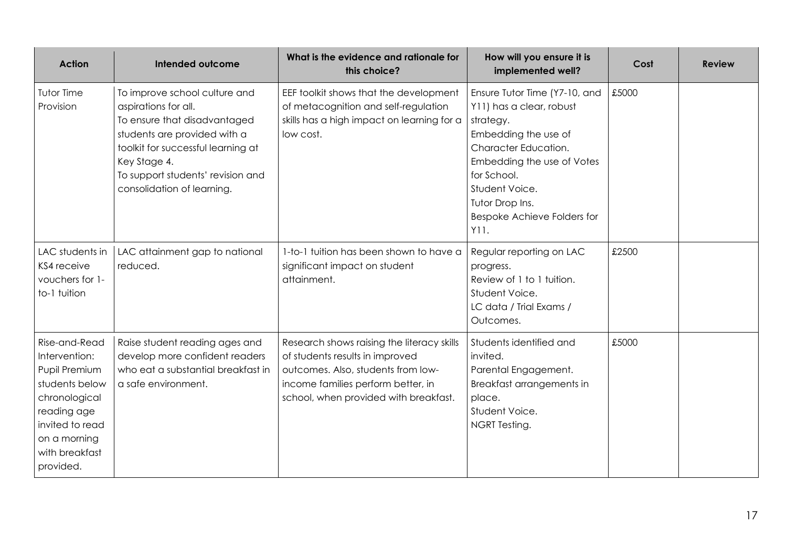| <b>Action</b>                                                                                                                                                       | Intended outcome                                                                                                                                                                                                                               | What is the evidence and rationale for<br>this choice?                                                                                                                                             | How will you ensure it is<br>implemented well?                                                                                                                                                                                                  | Cost  | <b>Review</b> |
|---------------------------------------------------------------------------------------------------------------------------------------------------------------------|------------------------------------------------------------------------------------------------------------------------------------------------------------------------------------------------------------------------------------------------|----------------------------------------------------------------------------------------------------------------------------------------------------------------------------------------------------|-------------------------------------------------------------------------------------------------------------------------------------------------------------------------------------------------------------------------------------------------|-------|---------------|
| Tutor Time<br>Provision                                                                                                                                             | To improve school culture and<br>aspirations for all.<br>To ensure that disadvantaged<br>students are provided with a<br>toolkit for successful learning at<br>Key Stage 4.<br>To support students' revision and<br>consolidation of learning. | EEF toolkit shows that the development<br>of metacognition and self-regulation<br>skills has a high impact on learning for a<br>low cost.                                                          | Ensure Tutor Time (Y7-10, and<br>Y11) has a clear, robust<br>strategy.<br>Embedding the use of<br>Character Education.<br>Embedding the use of Votes<br>for School.<br>Student Voice.<br>Tutor Drop Ins.<br>Bespoke Achieve Folders for<br>Y11. | £5000 |               |
| LAC students in<br>KS4 receive<br>vouchers for 1-<br>to-1 tuition                                                                                                   | LAC attainment gap to national<br>reduced.                                                                                                                                                                                                     | 1-to-1 tuition has been shown to have a<br>significant impact on student<br>attainment.                                                                                                            | Regular reporting on LAC<br>progress.<br>Review of 1 to 1 tuition.<br>Student Voice.<br>LC data / Trial Exams /<br>Outcomes.                                                                                                                    | £2500 |               |
| Rise-and-Read<br>Intervention:<br>Pupil Premium<br>students below<br>chronological<br>reading age<br>invited to read<br>on a morning<br>with breakfast<br>provided. | Raise student reading ages and<br>develop more confident readers<br>who eat a substantial breakfast in<br>a safe environment.                                                                                                                  | Research shows raising the literacy skills<br>of students results in improved<br>outcomes. Also, students from low-<br>income families perform better, in<br>school, when provided with breakfast. | Students identified and<br>invited.<br>Parental Engagement.<br>Breakfast arrangements in<br>place.<br>Student Voice.<br>NGRT Testing.                                                                                                           | £5000 |               |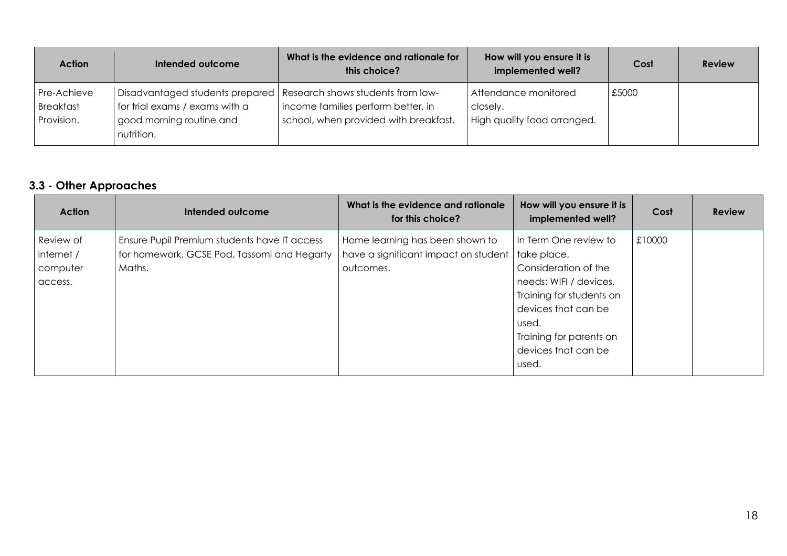| <b>Action</b>                          | Intended outcome                                                         | What is the evidence and rationale for<br>this choice?                                                                                             | How will you ensure it is<br>implemented well?                  | Cost  | <b>Review</b> |
|----------------------------------------|--------------------------------------------------------------------------|----------------------------------------------------------------------------------------------------------------------------------------------------|-----------------------------------------------------------------|-------|---------------|
| Pre-Achieve<br>Breakfast<br>Provision. | for trial exams / exams with a<br>good morning routine and<br>nutrition. | Disadvantaged students prepared   Research shows students from low-<br>income families perform better, in<br>school, when provided with breakfast. | Attendance monitored<br>closely.<br>High quality food arranged. | £5000 |               |

# **3.3 - Other Approaches**

| <b>Action</b>                                  | Intended outcome                                                                                      | What is the evidence and rationale<br>for this choice?                               | How will you ensure it is<br>implemented well?                                                                                                     | Cost   | <b>Review</b> |
|------------------------------------------------|-------------------------------------------------------------------------------------------------------|--------------------------------------------------------------------------------------|----------------------------------------------------------------------------------------------------------------------------------------------------|--------|---------------|
| Review of<br>internet /<br>computer<br>access. | Ensure Pupil Premium students have IT access<br>for homework, GCSE Pod, Tassomi and Hegarty<br>Maths. | Home learning has been shown to<br>have a significant impact on student<br>outcomes. | In Term One review to<br>take place.<br>Consideration of the<br>needs: WIFI / devices.<br>Training for students on<br>devices that can be<br>used. | £10000 |               |
|                                                |                                                                                                       |                                                                                      | Training for parents on<br>devices that can be<br>used.                                                                                            |        |               |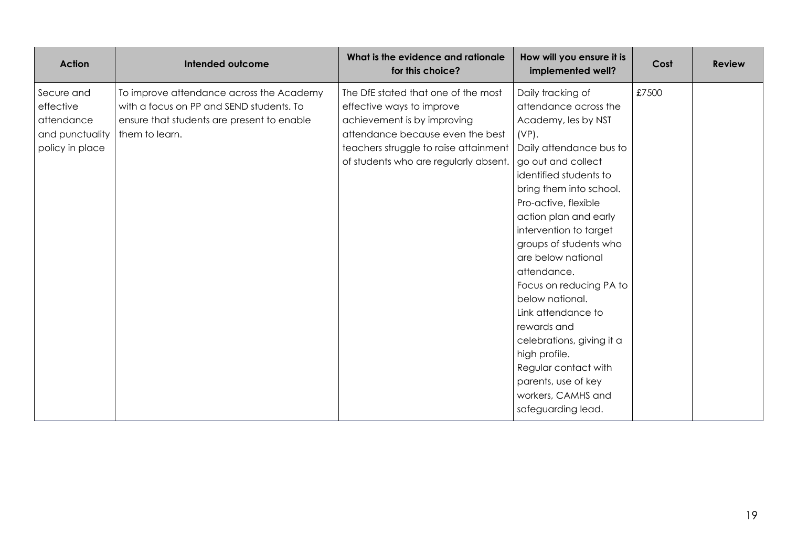| <b>Action</b>                                                               | Intended outcome                                                                                                                                     | What is the evidence and rationale<br>for this choice?                                                                                                                                                                | How will you ensure it is<br>implemented well?                                                                                                                                                                                                                                                                                                                                                                                                                                                                                                            | Cost  | <b>Review</b> |
|-----------------------------------------------------------------------------|------------------------------------------------------------------------------------------------------------------------------------------------------|-----------------------------------------------------------------------------------------------------------------------------------------------------------------------------------------------------------------------|-----------------------------------------------------------------------------------------------------------------------------------------------------------------------------------------------------------------------------------------------------------------------------------------------------------------------------------------------------------------------------------------------------------------------------------------------------------------------------------------------------------------------------------------------------------|-------|---------------|
| Secure and<br>effective<br>attendance<br>and punctuality<br>policy in place | To improve attendance across the Academy<br>with a focus on PP and SEND students. To<br>ensure that students are present to enable<br>them to learn. | The DfE stated that one of the most<br>effective ways to improve<br>achievement is by improving<br>attendance because even the best<br>teachers struggle to raise attainment<br>of students who are regularly absent. | Daily tracking of<br>attendance across the<br>Academy, les by NST<br>$(VP)$ .<br>Daily attendance bus to<br>go out and collect<br>identified students to<br>bring them into school.<br>Pro-active, flexible<br>action plan and early<br>intervention to target<br>groups of students who<br>are below national<br>attendance.<br>Focus on reducing PA to<br>below national.<br>Link attendance to<br>rewards and<br>celebrations, giving it a<br>high profile.<br>Regular contact with<br>parents, use of key<br>workers, CAMHS and<br>safeguarding lead. | £7500 |               |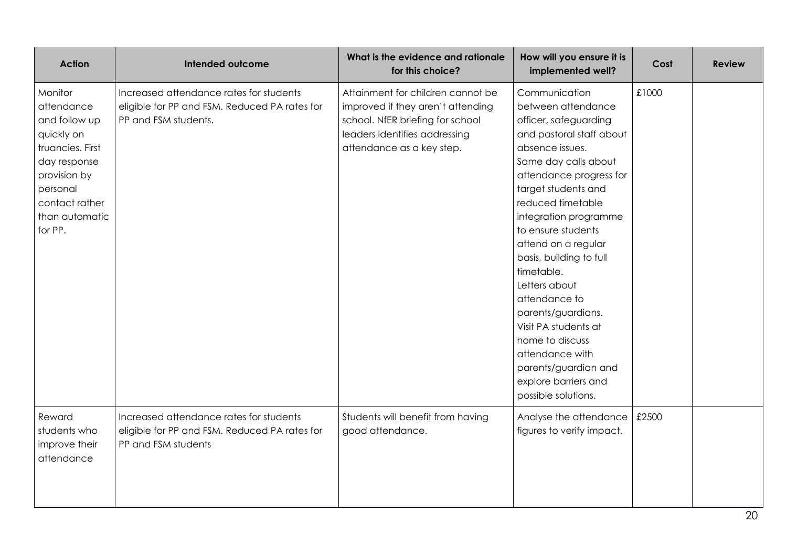| <b>Action</b>                                                                                                                                                       | Intended outcome                                                                                                 | What is the evidence and rationale<br>for this choice?                                                                                                                   | How will you ensure it is<br>implemented well?                                                                                                                                                                                                                                                                                                                                                                                                                                                                         | Cost  | <b>Review</b> |
|---------------------------------------------------------------------------------------------------------------------------------------------------------------------|------------------------------------------------------------------------------------------------------------------|--------------------------------------------------------------------------------------------------------------------------------------------------------------------------|------------------------------------------------------------------------------------------------------------------------------------------------------------------------------------------------------------------------------------------------------------------------------------------------------------------------------------------------------------------------------------------------------------------------------------------------------------------------------------------------------------------------|-------|---------------|
| Monitor<br>attendance<br>and follow up<br>quickly on<br>truancies. First<br>day response<br>provision by<br>personal<br>contact rather<br>than automatic<br>for PP. | Increased attendance rates for students<br>eligible for PP and FSM. Reduced PA rates for<br>PP and FSM students. | Attainment for children cannot be<br>improved if they aren't attending<br>school. NfER briefing for school<br>leaders identifies addressing<br>attendance as a key step. | Communication<br>between attendance<br>officer, safeguarding<br>and pastoral staff about<br>absence issues.<br>Same day calls about<br>attendance progress for<br>target students and<br>reduced timetable<br>integration programme<br>to ensure students<br>attend on a regular<br>basis, building to full<br>timetable.<br>Letters about<br>attendance to<br>parents/guardians.<br>Visit PA students at<br>home to discuss<br>attendance with<br>parents/guardian and<br>explore barriers and<br>possible solutions. | £1000 |               |
| Reward<br>students who<br>improve their<br>attendance                                                                                                               | Increased attendance rates for students<br>eligible for PP and FSM. Reduced PA rates for<br>PP and FSM students  | Students will benefit from having<br>good attendance.                                                                                                                    | Analyse the attendance<br>figures to verify impact.                                                                                                                                                                                                                                                                                                                                                                                                                                                                    | £2500 |               |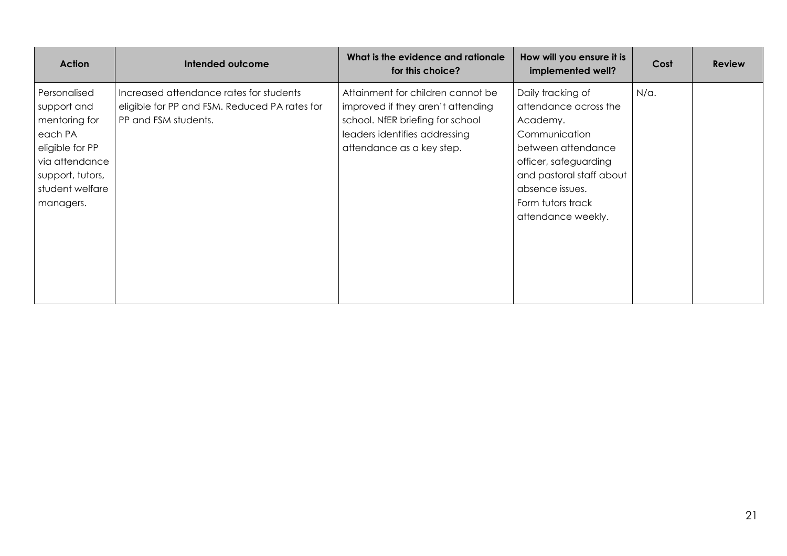| <b>Action</b>                                                                                                                                    | <b>Intended outcome</b>                                                                                          | What is the evidence and rationale<br>for this choice?                                                                                                                   | How will you ensure it is<br>implemented well?                                                                                                                                                                   | Cost         | <b>Review</b> |
|--------------------------------------------------------------------------------------------------------------------------------------------------|------------------------------------------------------------------------------------------------------------------|--------------------------------------------------------------------------------------------------------------------------------------------------------------------------|------------------------------------------------------------------------------------------------------------------------------------------------------------------------------------------------------------------|--------------|---------------|
| Personalised<br>support and<br>mentoring for<br>each PA<br>eligible for PP<br>via attendance<br>support, tutors,<br>student welfare<br>managers. | Increased attendance rates for students<br>eligible for PP and FSM. Reduced PA rates for<br>PP and FSM students. | Attainment for children cannot be<br>improved if they aren't attending<br>school. NfER briefing for school<br>leaders identifies addressing<br>attendance as a key step. | Daily tracking of<br>attendance across the<br>Academy.<br>Communication<br>between attendance<br>officer, safeguarding<br>and pastoral staff about<br>absence issues.<br>Form tutors track<br>attendance weekly. | $N/\alpha$ . |               |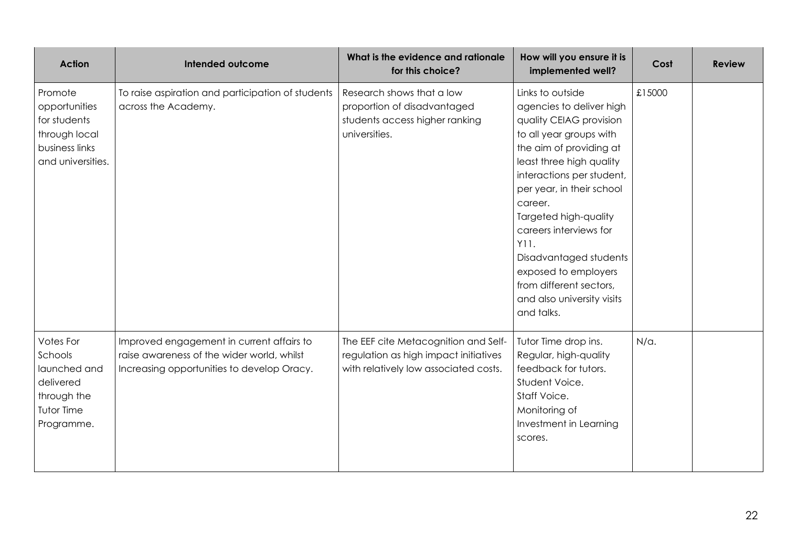| <b>Action</b>                                                                                    | Intended outcome                                                                                                                      | What is the evidence and rationale<br>for this choice?                                                                 | How will you ensure it is<br>implemented well?                                                                                                                                                                                                                                                                                                                                                                     | Cost         | <b>Review</b> |
|--------------------------------------------------------------------------------------------------|---------------------------------------------------------------------------------------------------------------------------------------|------------------------------------------------------------------------------------------------------------------------|--------------------------------------------------------------------------------------------------------------------------------------------------------------------------------------------------------------------------------------------------------------------------------------------------------------------------------------------------------------------------------------------------------------------|--------------|---------------|
| Promote<br>opportunities<br>for students<br>through local<br>business links<br>and universities. | To raise aspiration and participation of students<br>across the Academy.                                                              | Research shows that a low<br>proportion of disadvantaged<br>students access higher ranking<br>universities.            | Links to outside<br>agencies to deliver high<br>quality CEIAG provision<br>to all year groups with<br>the aim of providing at<br>least three high quality<br>interactions per student,<br>per year, in their school<br>career.<br>Targeted high-quality<br>careers interviews for<br>Y11.<br>Disadvantaged students<br>exposed to employers<br>from different sectors,<br>and also university visits<br>and talks. | £15000       |               |
| Votes For<br>Schools<br>launched and<br>delivered<br>through the<br>Tutor Time<br>Programme.     | Improved engagement in current affairs to<br>raise awareness of the wider world, whilst<br>Increasing opportunities to develop Oracy. | The EEF cite Metacognition and Self-<br>regulation as high impact initiatives<br>with relatively low associated costs. | Tutor Time drop ins.<br>Regular, high-quality<br>feedback for tutors.<br>Student Voice.<br>Staff Voice.<br>Monitoring of<br>Investment in Learning<br>scores.                                                                                                                                                                                                                                                      | $N/\alpha$ . |               |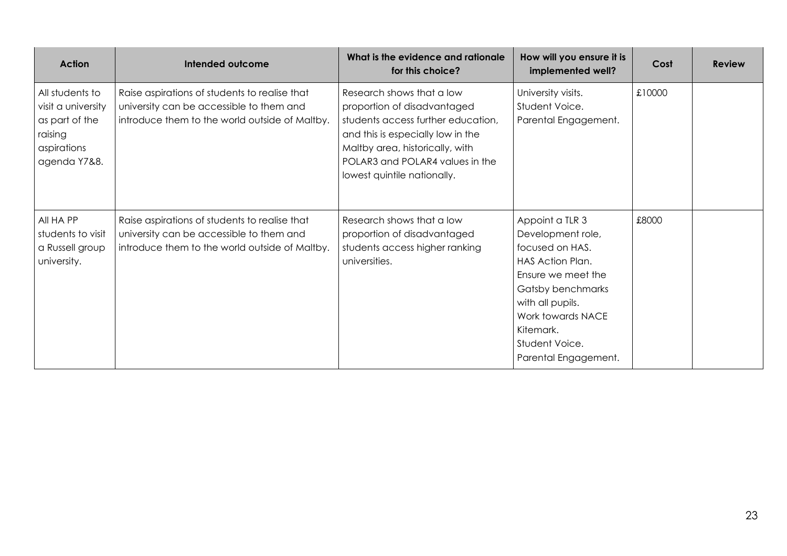| <b>Action</b>                                                                                     | Intended outcome                                                                                                                            | What is the evidence and rationale<br>for this choice?                                                                                                                                                                                   | How will you ensure it is<br>implemented well?                                                                                                                                                                         | Cost   | <b>Review</b> |
|---------------------------------------------------------------------------------------------------|---------------------------------------------------------------------------------------------------------------------------------------------|------------------------------------------------------------------------------------------------------------------------------------------------------------------------------------------------------------------------------------------|------------------------------------------------------------------------------------------------------------------------------------------------------------------------------------------------------------------------|--------|---------------|
| All students to<br>visit a university<br>as part of the<br>raising<br>aspirations<br>agenda Y7&8. | Raise aspirations of students to realise that<br>university can be accessible to them and<br>introduce them to the world outside of Maltby. | Research shows that a low<br>proportion of disadvantaged<br>students access further education,<br>and this is especially low in the<br>Maltby area, historically, with<br>POLAR3 and POLAR4 values in the<br>lowest quintile nationally. | University visits.<br>Student Voice.<br>Parental Engagement.                                                                                                                                                           | £10000 |               |
| All HA PP<br>students to visit<br>a Russell group<br>university.                                  | Raise aspirations of students to realise that<br>university can be accessible to them and<br>introduce them to the world outside of Maltby. | Research shows that a low<br>proportion of disadvantaged<br>students access higher ranking<br>universities.                                                                                                                              | Appoint a TLR 3<br>Development role,<br>focused on HAS.<br>HAS Action Plan.<br>Ensure we meet the<br>Gatsby benchmarks<br>with all pupils.<br>Work towards NACE<br>Kitemark.<br>Student Voice.<br>Parental Engagement. | £8000  |               |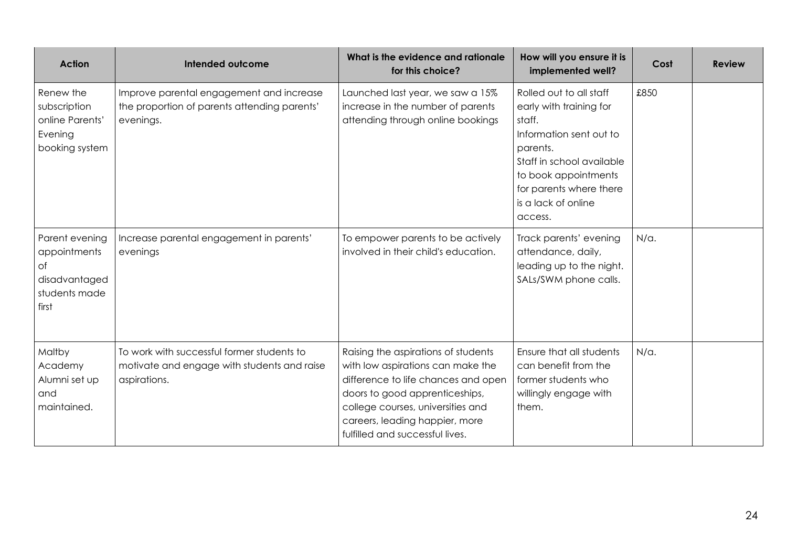| <b>Action</b>                                                                   | Intended outcome                                                                                          | What is the evidence and rationale<br>for this choice?                                                                                                                                                                                                      | How will you ensure it is<br>implemented well?                                                                                                                                                                        | Cost         | <b>Review</b> |
|---------------------------------------------------------------------------------|-----------------------------------------------------------------------------------------------------------|-------------------------------------------------------------------------------------------------------------------------------------------------------------------------------------------------------------------------------------------------------------|-----------------------------------------------------------------------------------------------------------------------------------------------------------------------------------------------------------------------|--------------|---------------|
| Renew the<br>subscription<br>online Parents'<br>Evening<br>booking system       | Improve parental engagement and increase<br>the proportion of parents attending parents'<br>evenings.     | Launched last year, we saw a 15%<br>increase in the number of parents<br>attending through online bookings                                                                                                                                                  | Rolled out to all staff<br>early with training for<br>staff.<br>Information sent out to<br>parents.<br>Staff in school available<br>to book appointments<br>for parents where there<br>is a lack of online<br>access. | £850         |               |
| Parent evening<br>appointments<br>Оf<br>disadvantaged<br>students made<br>first | Increase parental engagement in parents'<br>evenings                                                      | To empower parents to be actively<br>involved in their child's education.                                                                                                                                                                                   | Track parents' evening<br>attendance, daily,<br>leading up to the night.<br>SALs/SWM phone calls.                                                                                                                     | $N/\alpha$ . |               |
| Maltby<br>Academy<br>Alumni set up<br>and<br>maintained.                        | To work with successful former students to<br>motivate and engage with students and raise<br>aspirations. | Raising the aspirations of students<br>with low aspirations can make the<br>difference to life chances and open<br>doors to good apprenticeships,<br>college courses, universities and<br>careers, leading happier, more<br>fulfilled and successful lives. | Ensure that all students<br>can benefit from the<br>former students who<br>willingly engage with<br>them.                                                                                                             | $N/\alpha$ . |               |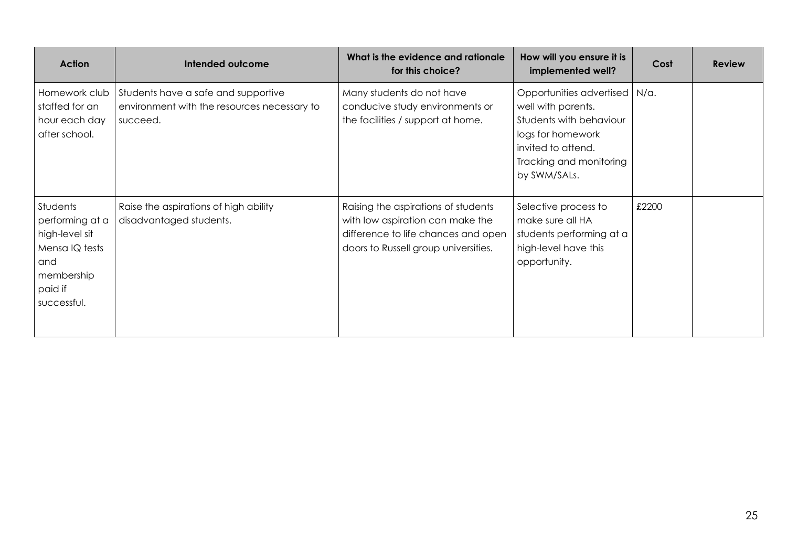| <b>Action</b>                                                                                                  | Intended outcome                                                                               | What is the evidence and rationale<br>for this choice?                                                                                                 | How will you ensure it is<br>implemented well?                                                                                                                         | Cost  | <b>Review</b> |
|----------------------------------------------------------------------------------------------------------------|------------------------------------------------------------------------------------------------|--------------------------------------------------------------------------------------------------------------------------------------------------------|------------------------------------------------------------------------------------------------------------------------------------------------------------------------|-------|---------------|
| Homework club<br>staffed for an<br>hour each day<br>after school.                                              | Students have a safe and supportive<br>environment with the resources necessary to<br>succeed. | Many students do not have<br>conducive study environments or<br>the facilities / support at home.                                                      | Opportunities advertised   N/a.<br>well with parents.<br>Students with behaviour<br>logs for homework<br>invited to attend.<br>Tracking and monitoring<br>by SWM/SALs. |       |               |
| Students<br>performing at a<br>high-level sit<br>Mensa IQ tests<br>and<br>membership<br>paid if<br>successful. | Raise the aspirations of high ability<br>disadvantaged students.                               | Raising the aspirations of students<br>with low aspiration can make the<br>difference to life chances and open<br>doors to Russell group universities. | Selective process to<br>make sure all HA<br>students performing at a<br>high-level have this<br>opportunity.                                                           | £2200 |               |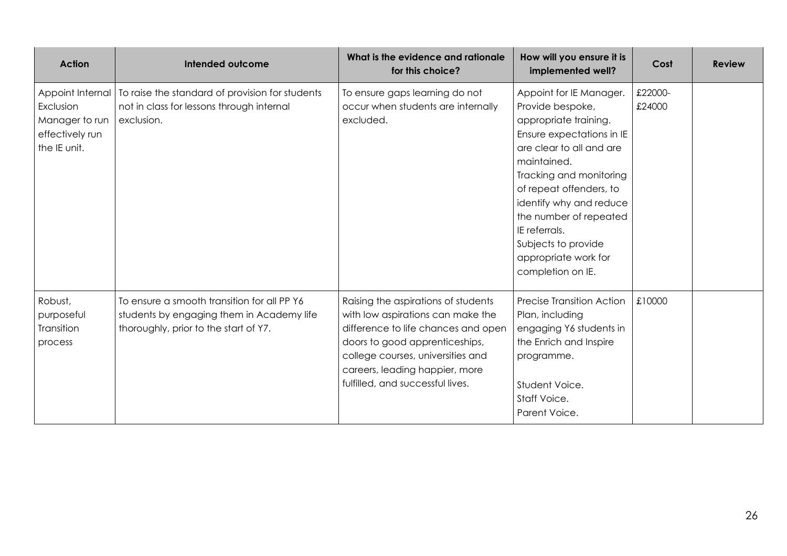| <b>Action</b>                                                                      | Intended outcome                                                                                                                  | What is the evidence and rationale<br>for this choice?                                                                                                                                                                                                       | How will you ensure it is<br>implemented well?                                                                                                                                                                                                                                                                                               | Cost              | <b>Review</b> |
|------------------------------------------------------------------------------------|-----------------------------------------------------------------------------------------------------------------------------------|--------------------------------------------------------------------------------------------------------------------------------------------------------------------------------------------------------------------------------------------------------------|----------------------------------------------------------------------------------------------------------------------------------------------------------------------------------------------------------------------------------------------------------------------------------------------------------------------------------------------|-------------------|---------------|
| Appoint Internal<br>Exclusion<br>Manager to run<br>effectively run<br>the IE unit. | To raise the standard of provision for students<br>not in class for lessons through internal<br>exclusion.                        | To ensure gaps learning do not<br>occur when students are internally<br>excluded.                                                                                                                                                                            | Appoint for IE Manager.<br>Provide bespoke,<br>appropriate training.<br>Ensure expectations in IE<br>are clear to all and are<br>maintained.<br>Tracking and monitoring<br>of repeat offenders, to<br>identify why and reduce<br>the number of repeated<br>IE referrals.<br>Subjects to provide<br>appropriate work for<br>completion on IE. | £22000-<br>£24000 |               |
| Robust,<br>purposeful<br>Transition<br>process                                     | To ensure a smooth transition for all PP Y6<br>students by engaging them in Academy life<br>thoroughly, prior to the start of Y7. | Raising the aspirations of students<br>with low aspirations can make the<br>difference to life chances and open<br>doors to good apprenticeships,<br>college courses, universities and<br>careers, leading happier, more<br>fulfilled, and successful lives. | <b>Precise Transition Action</b><br>Plan, including<br>engaging Y6 students in<br>the Enrich and Inspire<br>programme.<br>Student Voice.<br>Staff Voice.<br>Parent Voice.                                                                                                                                                                    | £10000            |               |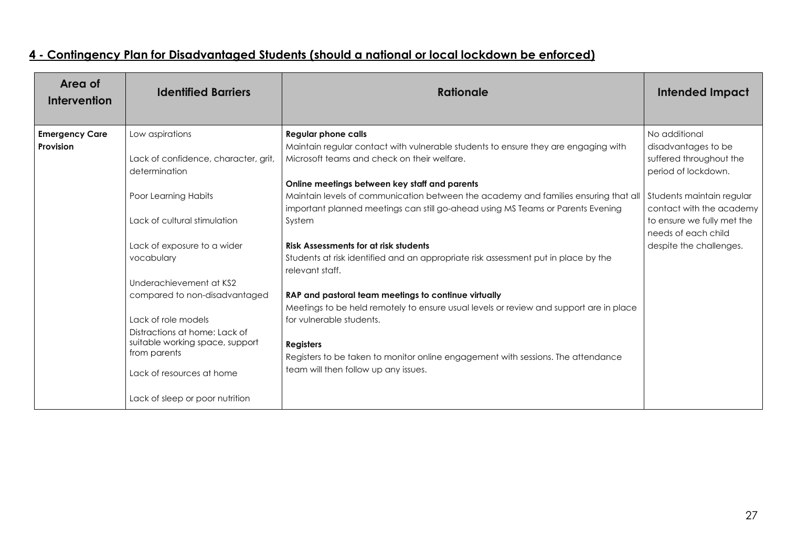| Area of<br><b>Intervention</b>     | <b>Identified Barriers</b>                                                                                                                                                                               | <b>Rationale</b>                                                                                                                                                                                                                                                                                                           | <b>Intended Impact</b>                                                                                     |
|------------------------------------|----------------------------------------------------------------------------------------------------------------------------------------------------------------------------------------------------------|----------------------------------------------------------------------------------------------------------------------------------------------------------------------------------------------------------------------------------------------------------------------------------------------------------------------------|------------------------------------------------------------------------------------------------------------|
| <b>Emergency Care</b><br>Provision | Low aspirations<br>Lack of confidence, character, grit,<br>determination                                                                                                                                 | <b>Regular phone calls</b><br>Maintain regular contact with vulnerable students to ensure they are engaging with<br>Microsoft teams and check on their welfare.                                                                                                                                                            | No additional<br>disadvantages to be<br>suffered throughout the<br>period of lockdown.                     |
|                                    | Poor Learning Habits<br>Lack of cultural stimulation                                                                                                                                                     | Online meetings between key staff and parents<br>Maintain levels of communication between the academy and families ensuring that all<br>important planned meetings can still go-ahead using MS Teams or Parents Evening<br>System                                                                                          | Students maintain regular<br>contact with the academy<br>to ensure we fully met the<br>needs of each child |
|                                    | Lack of exposure to a wider<br>vocabulary<br>Underachievement at KS2                                                                                                                                     | <b>Risk Assessments for at risk students</b><br>Students at risk identified and an appropriate risk assessment put in place by the<br>relevant staff.                                                                                                                                                                      | despite the challenges.                                                                                    |
|                                    | compared to non-disadvantaged<br>Lack of role models<br>Distractions at home: Lack of<br>suitable working space, support<br>from parents<br>Lack of resources at home<br>Lack of sleep or poor nutrition | RAP and pastoral team meetings to continue virtually<br>Meetings to be held remotely to ensure usual levels or review and support are in place<br>for vulnerable students.<br><b>Registers</b><br>Registers to be taken to monitor online engagement with sessions. The attendance<br>team will then follow up any issues. |                                                                                                            |

# **4 - Contingency Plan for Disadvantaged Students (should a national or local lockdown be enforced)**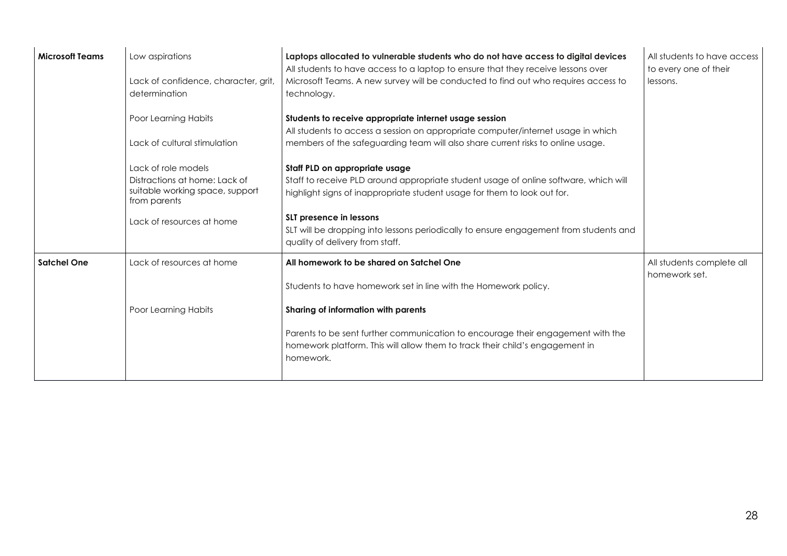| <b>Microsoft Teams</b> | Low aspirations<br>Lack of confidence, character, grit,<br>determination                                                             | Laptops allocated to vulnerable students who do not have access to digital devices<br>All students to have access to a laptop to ensure that they receive lessons over<br>Microsoft Teams. A new survey will be conducted to find out who requires access to<br>technology.                                                                               | All students to have access<br>to every one of their<br>lessons. |
|------------------------|--------------------------------------------------------------------------------------------------------------------------------------|-----------------------------------------------------------------------------------------------------------------------------------------------------------------------------------------------------------------------------------------------------------------------------------------------------------------------------------------------------------|------------------------------------------------------------------|
|                        | Poor Learning Habits<br>Lack of cultural stimulation                                                                                 | Students to receive appropriate internet usage session<br>All students to access a session on appropriate computer/internet usage in which<br>members of the safeguarding team will also share current risks to online usage.                                                                                                                             |                                                                  |
|                        | Lack of role models<br>Distractions at home: Lack of<br>suitable working space, support<br>from parents<br>Lack of resources at home | Staff PLD on appropriate usage<br>Staff to receive PLD around appropriate student usage of online software, which will<br>highlight signs of inappropriate student usage for them to look out for.<br>SLT presence in lessons<br>SLT will be dropping into lessons periodically to ensure engagement from students and<br>quality of delivery from staff. |                                                                  |
| <b>Satchel One</b>     | Lack of resources at home<br>Poor Learning Habits                                                                                    | All homework to be shared on Satchel One<br>Students to have homework set in line with the Homework policy.<br>Sharing of information with parents<br>Parents to be sent further communication to encourage their engagement with the<br>homework platform. This will allow them to track their child's engagement in<br>homework.                        | All students complete all<br>homework set.                       |